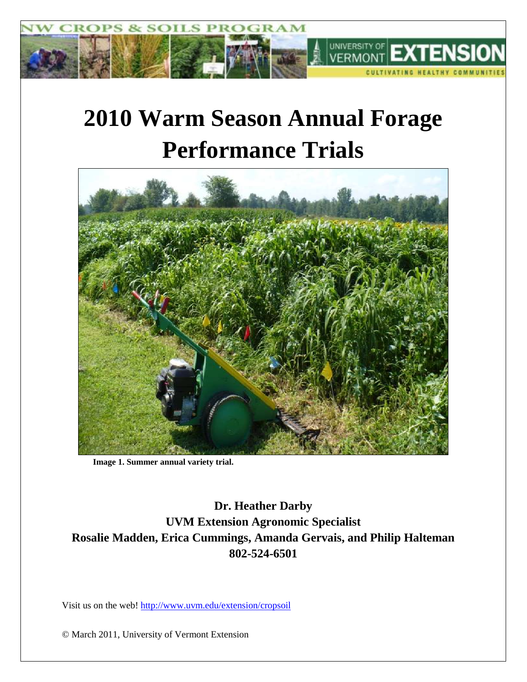

# **2010 Warm Season Annual Forage Performance Trials**



**Image 1. Summer annual variety trial.**

**Dr. Heather Darby UVM Extension Agronomic Specialist Rosalie Madden, Erica Cummings, Amanda Gervais, and Philip Halteman 802-524-6501**

Visit us on the web!<http://www.uvm.edu/extension/cropsoil>

© March 2011, University of Vermont Extension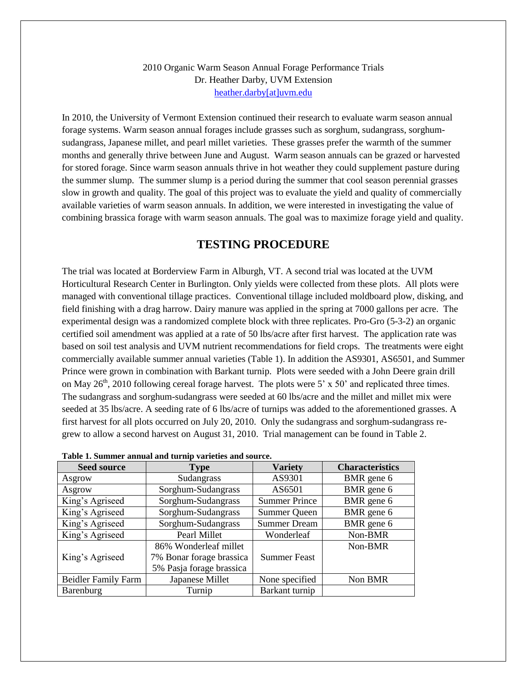#### 2010 Organic Warm Season Annual Forage Performance Trials Dr. Heather Darby, UVM Extension [heather.darby\[at\]uvm.edu](mailto:hdarby@uvm.edu?subject=2010%20Organic%20Warm%20Season%20Annual%20Forage%20Trials)

In 2010, the University of Vermont Extension continued their research to evaluate warm season annual forage systems. Warm season annual forages include grasses such as sorghum, sudangrass, sorghumsudangrass, Japanese millet, and pearl millet varieties. These grasses prefer the warmth of the summer months and generally thrive between June and August. Warm season annuals can be grazed or harvested for stored forage. Since warm season annuals thrive in hot weather they could supplement pasture during the summer slump. The summer slump is a period during the summer that cool season perennial grasses slow in growth and quality. The goal of this project was to evaluate the yield and quality of commercially available varieties of warm season annuals. In addition, we were interested in investigating the value of combining brassica forage with warm season annuals. The goal was to maximize forage yield and quality.

### **TESTING PROCEDURE**

The trial was located at Borderview Farm in Alburgh, VT. A second trial was located at the UVM Horticultural Research Center in Burlington. Only yields were collected from these plots. All plots were managed with conventional tillage practices. Conventional tillage included moldboard plow, disking, and field finishing with a drag harrow. Dairy manure was applied in the spring at 7000 gallons per acre. The experimental design was a randomized complete block with three replicates. Pro-Gro (5-3-2) an organic certified soil amendment was applied at a rate of 50 lbs/acre after first harvest. The application rate was based on soil test analysis and UVM nutrient recommendations for field crops. The treatments were eight commercially available summer annual varieties (Table 1). In addition the AS9301, AS6501, and Summer Prince were grown in combination with Barkant turnip. Plots were seeded with a John Deere grain drill on May  $26<sup>th</sup>$ , 2010 following cereal forage harvest. The plots were 5' x 50' and replicated three times. The sudangrass and sorghum-sudangrass were seeded at 60 lbs/acre and the millet and millet mix were seeded at 35 lbs/acre. A seeding rate of 6 lbs/acre of turnips was added to the aforementioned grasses. A first harvest for all plots occurred on July 20, 2010. Only the sudangrass and sorghum-sudangrass regrew to allow a second harvest on August 31, 2010. Trial management can be found in Table 2.

| Seed source | vne        | Variety |
|-------------|------------|---------|
| Asorow      | Sudanorass |         |

**Table 1. Summer annual and turnip varieties and source.**

| <b>Seed source</b>         | <b>Type</b>              | <b>Variety</b>       | <b>Characteristics</b> |
|----------------------------|--------------------------|----------------------|------------------------|
| Asgrow                     | Sudangrass               | AS9301               | BMR gene 6             |
| Asgrow                     | Sorghum-Sudangrass       | AS6501               | BMR gene 6             |
| King's Agriseed            | Sorghum-Sudangrass       | <b>Summer Prince</b> | BMR gene 6             |
| King's Agriseed            | Sorghum-Sudangrass       | <b>Summer Queen</b>  | BMR gene 6             |
| King's Agriseed            | Sorghum-Sudangrass       | <b>Summer Dream</b>  | BMR gene 6             |
| King's Agriseed            | Pearl Millet             | Wonderleaf           | Non-BMR                |
|                            | 86% Wonderleaf millet    |                      | Non-BMR                |
| King's Agriseed            | 7% Bonar forage brassica | <b>Summer Feast</b>  |                        |
|                            | 5% Pasja forage brassica |                      |                        |
| <b>Beidler Family Farm</b> | Japanese Millet          | None specified       | Non BMR                |
| Barenburg                  | Turnip                   | Barkant turnip       |                        |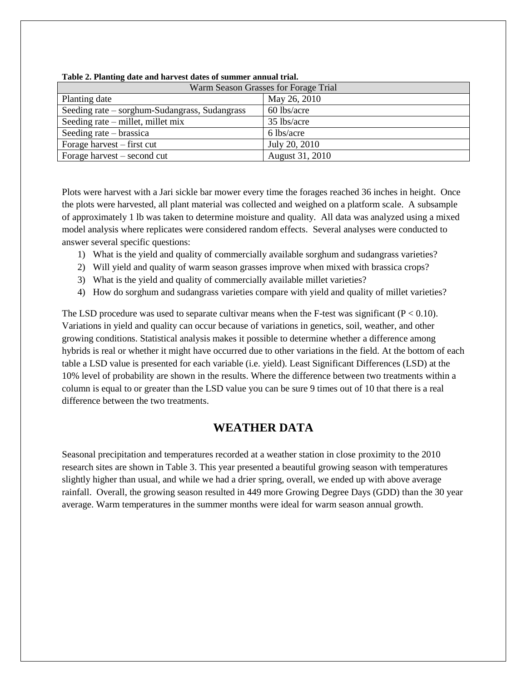| Tuble 2. I kinding wate and har rest autes of summer annual trian |                 |  |  |  |  |  |  |
|-------------------------------------------------------------------|-----------------|--|--|--|--|--|--|
| Warm Season Grasses for Forage Trial                              |                 |  |  |  |  |  |  |
| Planting date                                                     | May 26, 2010    |  |  |  |  |  |  |
| Seeding rate – sorghum-Sudangrass, Sudangrass                     | 60 lbs/acre     |  |  |  |  |  |  |
| Seeding rate – millet, millet mix                                 | 35 lbs/acre     |  |  |  |  |  |  |
| Seeding rate – brassica                                           | 6 lbs/acre      |  |  |  |  |  |  |
| Forage harvest – first cut                                        | July 20, 2010   |  |  |  |  |  |  |
| Forage harvest – second cut                                       | August 31, 2010 |  |  |  |  |  |  |

**Table 2. Planting date and harvest dates of summer annual trial.**

Plots were harvest with a Jari sickle bar mower every time the forages reached 36 inches in height. Once the plots were harvested, all plant material was collected and weighed on a platform scale. A subsample of approximately 1 lb was taken to determine moisture and quality. All data was analyzed using a mixed model analysis where replicates were considered random effects. Several analyses were conducted to answer several specific questions:

- 1) What is the yield and quality of commercially available sorghum and sudangrass varieties?
- 2) Will yield and quality of warm season grasses improve when mixed with brassica crops?
- 3) What is the yield and quality of commercially available millet varieties?
- 4) How do sorghum and sudangrass varieties compare with yield and quality of millet varieties?

The LSD procedure was used to separate cultivar means when the F-test was significant  $(P < 0.10)$ . Variations in yield and quality can occur because of variations in genetics, soil, weather, and other growing conditions. Statistical analysis makes it possible to determine whether a difference among hybrids is real or whether it might have occurred due to other variations in the field. At the bottom of each table a LSD value is presented for each variable (i.e. yield). Least Significant Differences (LSD) at the 10% level of probability are shown in the results. Where the difference between two treatments within a column is equal to or greater than the LSD value you can be sure 9 times out of 10 that there is a real difference between the two treatments.

## **WEATHER DATA**

Seasonal precipitation and temperatures recorded at a weather station in close proximity to the 2010 research sites are shown in Table 3. This year presented a beautiful growing season with temperatures slightly higher than usual, and while we had a drier spring, overall, we ended up with above average rainfall. Overall, the growing season resulted in 449 more Growing Degree Days (GDD) than the 30 year average. Warm temperatures in the summer months were ideal for warm season annual growth.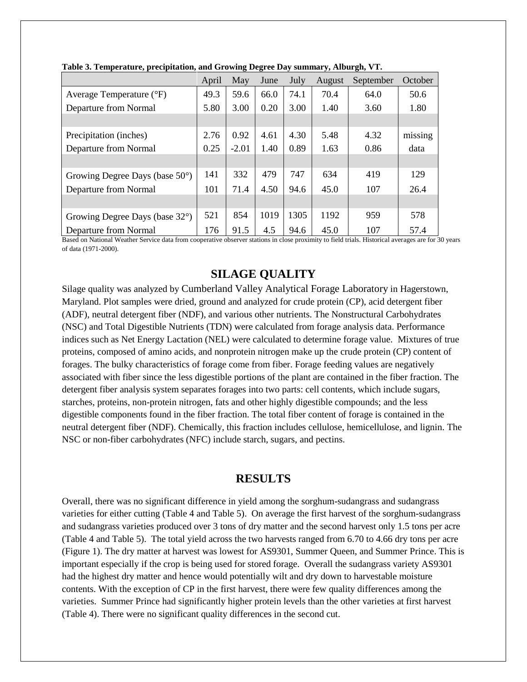|                                          | April | May     | June | July | August | September | October |
|------------------------------------------|-------|---------|------|------|--------|-----------|---------|
| Average Temperature (°F)                 | 49.3  | 59.6    | 66.0 | 74.1 | 70.4   | 64.0      | 50.6    |
| Departure from Normal                    | 5.80  | 3.00    | 0.20 | 3.00 | 1.40   | 3.60      | 1.80    |
|                                          |       |         |      |      |        |           |         |
| Precipitation (inches)                   | 2.76  | 0.92    | 4.61 | 4.30 | 5.48   | 4.32      | missing |
| Departure from Normal                    | 0.25  | $-2.01$ | 1.40 | 0.89 | 1.63   | 0.86      | data    |
|                                          |       |         |      |      |        |           |         |
| Growing Degree Days (base $50^{\circ}$ ) | 141   | 332     | 479  | 747  | 634    | 419       | 129     |
| Departure from Normal                    | 101   | 71.4    | 4.50 | 94.6 | 45.0   | 107       | 26.4    |
|                                          |       |         |      |      |        |           |         |
| Growing Degree Days (base 32°)           | 521   | 854     | 1019 | 1305 | 1192   | 959       | 578     |
| Departure from Normal                    | 176   | 91.5    | 4.5  | 94.6 | 45.0   | 107       | 57.4    |

**Table 3. Temperature, precipitation, and Growing Degree Day summary, Alburgh, VT.**

Based on National Weather Service data from cooperative observer stations in close proximity to field trials. Historical averages are for 30 years of data (1971-2000).

## **SILAGE QUALITY**

Silage quality was analyzed by Cumberland Valley Analytical Forage Laboratory in Hagerstown, Maryland. Plot samples were dried, ground and analyzed for crude protein (CP), acid detergent fiber (ADF), neutral detergent fiber (NDF), and various other nutrients. The Nonstructural Carbohydrates (NSC) and Total Digestible Nutrients (TDN) were calculated from forage analysis data. Performance indices such as Net Energy Lactation (NEL) were calculated to determine forage value. Mixtures of true proteins, composed of amino acids, and nonprotein nitrogen make up the crude protein (CP) content of forages. The bulky characteristics of forage come from fiber. Forage feeding values are negatively associated with fiber since the less digestible portions of the plant are contained in the fiber fraction. The detergent fiber analysis system separates forages into two parts: cell contents, which include sugars, starches, proteins, non-protein nitrogen, fats and other highly digestible compounds; and the less digestible components found in the fiber fraction. The total fiber content of forage is contained in the neutral detergent fiber (NDF). Chemically, this fraction includes cellulose, hemicellulose, and lignin. The NSC or non-fiber carbohydrates (NFC) include starch, sugars, and pectins.

### **RESULTS**

Overall, there was no significant difference in yield among the sorghum-sudangrass and sudangrass varieties for either cutting (Table 4 and Table 5). On average the first harvest of the sorghum-sudangrass and sudangrass varieties produced over 3 tons of dry matter and the second harvest only 1.5 tons per acre (Table 4 and Table 5). The total yield across the two harvests ranged from 6.70 to 4.66 dry tons per acre (Figure 1). The dry matter at harvest was lowest for AS9301, Summer Queen, and Summer Prince. This is important especially if the crop is being used for stored forage. Overall the sudangrass variety AS9301 had the highest dry matter and hence would potentially wilt and dry down to harvestable moisture contents. With the exception of CP in the first harvest, there were few quality differences among the varieties. Summer Prince had significantly higher protein levels than the other varieties at first harvest (Table 4). There were no significant quality differences in the second cut.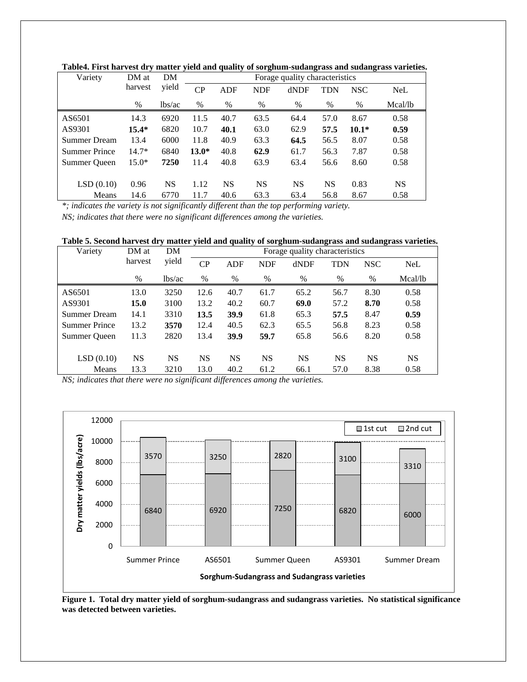| Variety              | DM at   | DM        | Forage quality characteristics |            |            |           |            |            |           |  |
|----------------------|---------|-----------|--------------------------------|------------|------------|-----------|------------|------------|-----------|--|
|                      | harvest | yield     | $\overline{CP}$                | <b>ADF</b> | <b>NDF</b> | dNDF      | <b>TDN</b> | <b>NSC</b> | NeL       |  |
|                      | $\%$    | lbs/ac    | $\%$                           | %          | $\%$       | $\%$      | $\%$       | %          | Mcal/lb   |  |
| AS6501               | 14.3    | 6920      | 11.5                           | 40.7       | 63.5       | 64.4      | 57.0       | 8.67       | 0.58      |  |
| AS9301               | $15.4*$ | 6820      | 10.7                           | 40.1       | 63.0       | 62.9      | 57.5       | $10.1*$    | 0.59      |  |
| Summer Dream         | 13.4    | 6000      | 11.8                           | 40.9       | 63.3       | 64.5      | 56.5       | 8.07       | 0.58      |  |
| <b>Summer Prince</b> | $14.7*$ | 6840      | $13.0*$                        | 40.8       | 62.9       | 61.7      | 56.3       | 7.87       | 0.58      |  |
| Summer Oueen         | $15.0*$ | 7250      | 11.4                           | 40.8       | 63.9       | 63.4      | 56.6       | 8.60       | 0.58      |  |
|                      |         |           |                                |            |            |           |            |            |           |  |
| LSD(0.10)            | 0.96    | <b>NS</b> | 1.12                           | NS         | <b>NS</b>  | <b>NS</b> | <b>NS</b>  | 0.83       | <b>NS</b> |  |
| Means                | 14.6    | 6770      | 11.7                           | 40.6       | 63.3       | 63.4      | 56.8       | 8.67       | 0.58      |  |

**Table4. First harvest dry matter yield and quality of sorghum-sudangrass and sudangrass varieties.** 

*\*; indicates the variety is not significantly different than the top performing variety.*

*NS; indicates that there were no significant differences among the varieties.*

| Variety              | DM at     | DM        | Forage quality characteristics |            |            |           |            |            |         |  |  |
|----------------------|-----------|-----------|--------------------------------|------------|------------|-----------|------------|------------|---------|--|--|
|                      | harvest   | yield     | CP                             | <b>ADF</b> | <b>NDF</b> | dNDF      | <b>TDN</b> | <b>NSC</b> | NeL     |  |  |
|                      | %         | lbs/ac    | %                              | $\%$       | %          | $\%$      | $\%$       | $\%$       | Mcal/lb |  |  |
| AS6501               | 13.0      | 3250      | 12.6                           | 40.7       | 61.7       | 65.2      | 56.7       | 8.30       | 0.58    |  |  |
| AS9301               | 15.0      | 3100      | 13.2                           | 40.2       | 60.7       | 69.0      | 57.2       | 8.70       | 0.58    |  |  |
| Summer Dream         | 14.1      | 3310      | 13.5                           | 39.9       | 61.8       | 65.3      | 57.5       | 8.47       | 0.59    |  |  |
| <b>Summer Prince</b> | 13.2      | 3570      | 12.4                           | 40.5       | 62.3       | 65.5      | 56.8       | 8.23       | 0.58    |  |  |
| Summer Oueen         | 11.3      | 2820      | 13.4                           | 39.9       | 59.7       | 65.8      | 56.6       | 8.20       | 0.58    |  |  |
| LSD(0.10)            | <b>NS</b> | <b>NS</b> | <b>NS</b>                      | <b>NS</b>  | <b>NS</b>  | <b>NS</b> | <b>NS</b>  | <b>NS</b>  | NS      |  |  |
| Means                | 13.3      | 3210      | 13.0                           | 40.2       | 61.2       | 66.1      | 57.0       | 8.38       | 0.58    |  |  |



**Figure 1. Total dry matter yield of sorghum-sudangrass and sudangrass varieties. No statistical significance was detected between varieties.**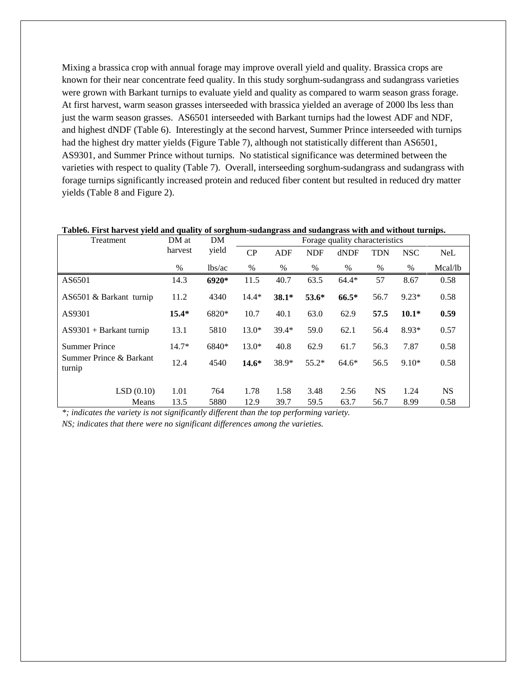Mixing a brassica crop with annual forage may improve overall yield and quality. Brassica crops are known for their near concentrate feed quality. In this study sorghum-sudangrass and sudangrass varieties were grown with Barkant turnips to evaluate yield and quality as compared to warm season grass forage. At first harvest, warm season grasses interseeded with brassica yielded an average of 2000 lbs less than just the warm season grasses. AS6501 interseeded with Barkant turnips had the lowest ADF and NDF, and highest dNDF (Table 6). Interestingly at the second harvest, Summer Prince interseeded with turnips had the highest dry matter yields (Figure Table 7), although not statistically different than AS6501, AS9301, and Summer Prince without turnips. No statistical significance was determined between the varieties with respect to quality (Table 7). Overall, interseeding sorghum-sudangrass and sudangrass with forage turnips significantly increased protein and reduced fiber content but resulted in reduced dry matter yields (Table 8 and Figure 2).

| Treatment                         | DM at        | DM          |              |              |              | Forage quality characteristics |                   |              |                   |
|-----------------------------------|--------------|-------------|--------------|--------------|--------------|--------------------------------|-------------------|--------------|-------------------|
|                                   | harvest      | yield       | CP           | <b>ADF</b>   | <b>NDF</b>   | dNDF                           | <b>TDN</b>        | <b>NSC</b>   | <b>NeL</b>        |
|                                   | $\%$         | lbs/ac      | $\%$         | $\%$         | $\%$         | $\%$                           | $\%$              | $\%$         | Mcal/lb           |
| AS6501                            | 14.3         | 6920*       | 11.5         | 40.7         | 63.5         | $64.4*$                        | 57                | 8.67         | 0.58              |
| AS6501 & Barkant turnip           | 11.2         | 4340        | $14.4*$      | $38.1*$      | 53.6*        | $66.5*$                        | 56.7              | $9.23*$      | 0.58              |
| AS9301                            | $15.4*$      | 6820*       | 10.7         | 40.1         | 63.0         | 62.9                           | 57.5              | $10.1*$      | 0.59              |
| $AS9301 + Barkant turnip$         | 13.1         | 5810        | $13.0*$      | $39.4*$      | 59.0         | 62.1                           | 56.4              | $8.93*$      | 0.57              |
| <b>Summer Prince</b>              | $14.7*$      | 6840*       | $13.0*$      | 40.8         | 62.9         | 61.7                           | 56.3              | 7.87         | 0.58              |
| Summer Prince & Barkant<br>turnip | 12.4         | 4540        | $14.6*$      | 38.9*        | $55.2*$      | $64.6*$                        | 56.5              | $9.10*$      | 0.58              |
| LSD(0.10)<br>Means                | 1.01<br>13.5 | 764<br>5880 | 1.78<br>12.9 | 1.58<br>39.7 | 3.48<br>59.5 | 2.56<br>63.7                   | <b>NS</b><br>56.7 | 1.24<br>8.99 | <b>NS</b><br>0.58 |

#### **Table6. First harvest yield and quality of sorghum-sudangrass and sudangrass with and without turnips.**

*\*; indicates the variety is not significantly different than the top performing variety.*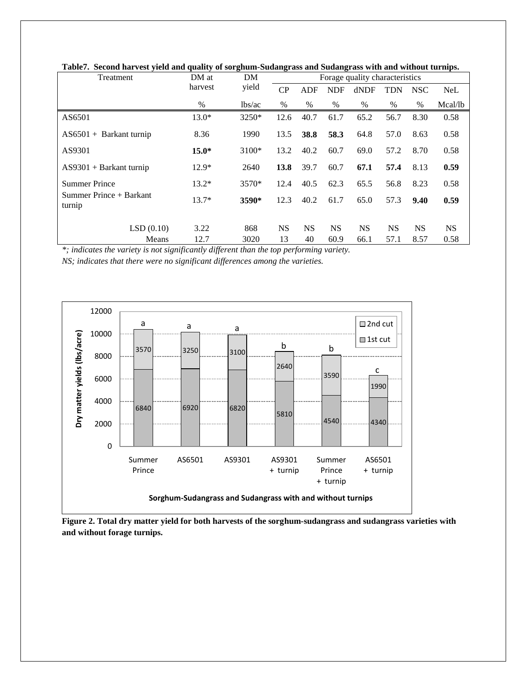| Treatment                         | DM at   | DM      |           | Forage quality characteristics |            |           |            |            |            |  |  |  |
|-----------------------------------|---------|---------|-----------|--------------------------------|------------|-----------|------------|------------|------------|--|--|--|
|                                   | harvest | yield   | CP        | <b>ADF</b>                     | <b>NDF</b> | dNDF      | <b>TDN</b> | <b>NSC</b> | <b>NeL</b> |  |  |  |
|                                   | %       | lbs/ac  | %         | $\%$                           | %          | $\%$      | $\%$       | $\%$       | Mcal/lb    |  |  |  |
| AS6501                            | $13.0*$ | $3250*$ | 12.6      | 40.7                           | 61.7       | 65.2      | 56.7       | 8.30       | 0.58       |  |  |  |
| $AS6501 + Barkant turnip$         | 8.36    | 1990    | 13.5      | 38.8                           | 58.3       | 64.8      | 57.0       | 8.63       | 0.58       |  |  |  |
| AS9301                            | $15.0*$ | $3100*$ | 13.2      | 40.2                           | 60.7       | 69.0      | 57.2       | 8.70       | 0.58       |  |  |  |
| $AS9301 + Barkant turnip$         | $12.9*$ | 2640    | 13.8      | 39.7                           | 60.7       | 67.1      | 57.4       | 8.13       | 0.59       |  |  |  |
| <b>Summer Prince</b>              | $13.2*$ | $3570*$ | 12.4      | 40.5                           | 62.3       | 65.5      | 56.8       | 8.23       | 0.58       |  |  |  |
| Summer Prince + Barkant<br>turnip | $13.7*$ | 3590*   | 12.3      | 40.2                           | 61.7       | 65.0      | 57.3       | 9.40       | 0.59       |  |  |  |
| LSD(0.10)                         | 3.22    | 868     | <b>NS</b> | <b>NS</b>                      | <b>NS</b>  | <b>NS</b> | <b>NS</b>  | <b>NS</b>  | <b>NS</b>  |  |  |  |
| Means                             | 12.7    | 3020    | 13        | 40                             | 60.9       | 66.1      | 57.1       | 8.57       | 0.58       |  |  |  |

**Table7. Second harvest yield and quality of sorghum-Sudangrass and Sudangrass with and without turnips.**

*\*; indicates the variety is not significantly different than the top performing variety.*



**Figure 2. Total dry matter yield for both harvests of the sorghum-sudangrass and sudangrass varieties with and without forage turnips.**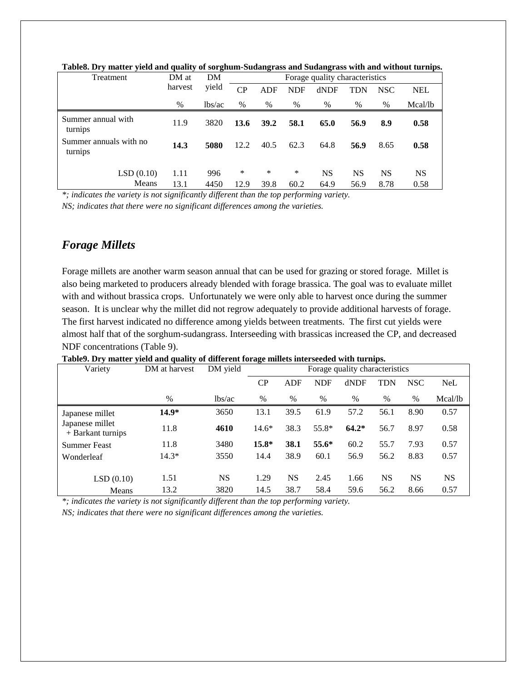| Treatment                         | DM at        | DM          | Forage quality characteristics |             |            |            |            |            |                   |  |
|-----------------------------------|--------------|-------------|--------------------------------|-------------|------------|------------|------------|------------|-------------------|--|
|                                   | harvest      | yield       | CP                             | ADF         | <b>NDF</b> | dNDF       | TDN        | <b>NSC</b> | <b>NEL</b>        |  |
|                                   | $\%$         | lbs/ac      | $\%$                           | $\%$        | $\%$       | $\%$       | $\%$       | $\%$       | Mcal/lb           |  |
| Summer annual with<br>turnips     | 11.9         | 3820        | 13.6                           | <b>39.2</b> | 58.1       | 65.0       | 56.9       | 8.9        | 0.58              |  |
| Summer annuals with no<br>turnips | 14.3         | 5080        | 12.2                           | 40.5        | 62.3       | 64.8       | 56.9       | 8.65       | 0.58              |  |
| LSD(0.10)<br>Means                | 1.11<br>13.1 | 996<br>4450 | ∗<br>12.9                      | *<br>39.8   | *<br>60.2  | NS<br>64.9 | NS<br>56.9 | NS<br>8.78 | <b>NS</b><br>0.58 |  |

**Table8. Dry matter yield and quality of sorghum-Sudangrass and Sudangrass with and without turnips.**

*\*; indicates the variety is not significantly different than the top performing variety.*

*NS; indicates that there were no significant differences among the varieties.*

## *Forage Millets*

Forage millets are another warm season annual that can be used for grazing or stored forage. Millet is also being marketed to producers already blended with forage brassica. The goal was to evaluate millet with and without brassica crops. Unfortunately we were only able to harvest once during the summer season. It is unclear why the millet did not regrow adequately to provide additional harvests of forage. The first harvest indicated no difference among yields between treatments. The first cut yields were almost half that of the sorghum-sudangrass. Interseeding with brassicas increased the CP, and decreased NDF concentrations (Table 9).

| Variety                                | DM at harvest | DM yield  | Forage quality characteristics |            |            |         |            |            |            |  |
|----------------------------------------|---------------|-----------|--------------------------------|------------|------------|---------|------------|------------|------------|--|
|                                        |               |           | $\rm CP$                       | <b>ADF</b> | <b>NDF</b> | dNDF    | <b>TDN</b> | <b>NSC</b> | <b>NeL</b> |  |
|                                        | %             | lbs/ac    | %                              | %          | $\%$       | %       | $\%$       | $\%$       | Mcal/lb    |  |
| Japanese millet                        | $14.9*$       | 3650      | 13.1                           | 39.5       | 61.9       | 57.2    | 56.1       | 8.90       | 0.57       |  |
| Japanese millet<br>$+$ Barkant turnips | 11.8          | 4610      | $14.6*$                        | 38.3       | 55.8*      | $64.2*$ | 56.7       | 8.97       | 0.58       |  |
| <b>Summer Feast</b>                    | 11.8          | 3480      | $15.8*$                        | 38.1       | 55.6*      | 60.2    | 55.7       | 7.93       | 0.57       |  |
| Wonderleaf                             | $14.3*$       | 3550      | 14.4                           | 38.9       | 60.1       | 56.9    | 56.2       | 8.83       | 0.57       |  |
| LSD(0.10)                              | 1.51          | <b>NS</b> | 1.29                           | <b>NS</b>  | 2.45       | 1.66    | <b>NS</b>  | <b>NS</b>  | <b>NS</b>  |  |
| Means                                  | 13.2          | 3820      | 14.5                           | 38.7       | 58.4       | 59.6    | 56.2       | 8.66       | 0.57       |  |

**Table9. Dry matter yield and quality of different forage millets interseeded with turnips.**

*\*; indicates the variety is not significantly different than the top performing variety.*